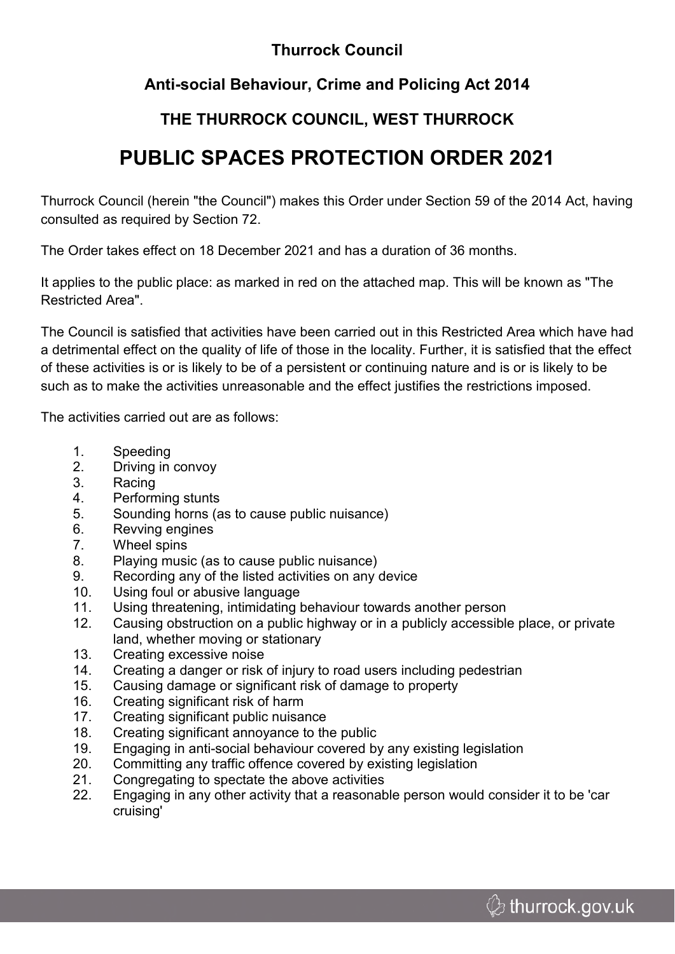## **Thurrock Council**

## **Anti-social Behaviour, Crime and Policing Act 2014**

# **THE THURROCK COUNCIL, WEST THURROCK**

# **PUBLIC SPACES PROTECTION ORDER 2021**

Thurrock Council (herein "the Council") makes this Order under Section 59 of the 2014 Act, having consulted as required by Section 72.

The Order takes effect on 18 December 2021 and has a duration of 36 months.

It applies to the public place: as marked in red on the attached map. This will be known as "The Restricted Area".

The Council is satisfied that activities have been carried out in this Restricted Area which have had a detrimental effect on the quality of life of those in the locality. Further, it is satisfied that the effect of these activities is or is likely to be of a persistent or continuing nature and is or is likely to be such as to make the activities unreasonable and the effect justifies the restrictions imposed.

The activities carried out are as follows:

- 1. Speeding
- 2. Driving in convoy
- 3. Racing
- 4. Performing stunts
- 5. Sounding horns (as to cause public nuisance)
- 6. Revving engines
- 7. Wheel spins
- 8. Playing music (as to cause public nuisance)
- 9. Recording any of the listed activities on any device
- 10. Using foul or abusive language
- 11. Using threatening, intimidating behaviour towards another person
- 12. Causing obstruction on a public highway or in a publicly accessible place, or private land, whether moving or stationary
- 13. Creating excessive noise
- 14. Creating a danger or risk of injury to road users including pedestrian
- 15. Causing damage or significant risk of damage to property
- 16. Creating significant risk of harm
- 17. Creating significant public nuisance
- 18. Creating significant annoyance to the public
- 19. Engaging in anti-social behaviour covered by any existing legislation
- 20. Committing any traffic offence covered by existing legislation
- 21. Congregating to spectate the above activities
- 22. Engaging in any other activity that a reasonable person would consider it to be 'car cruising'